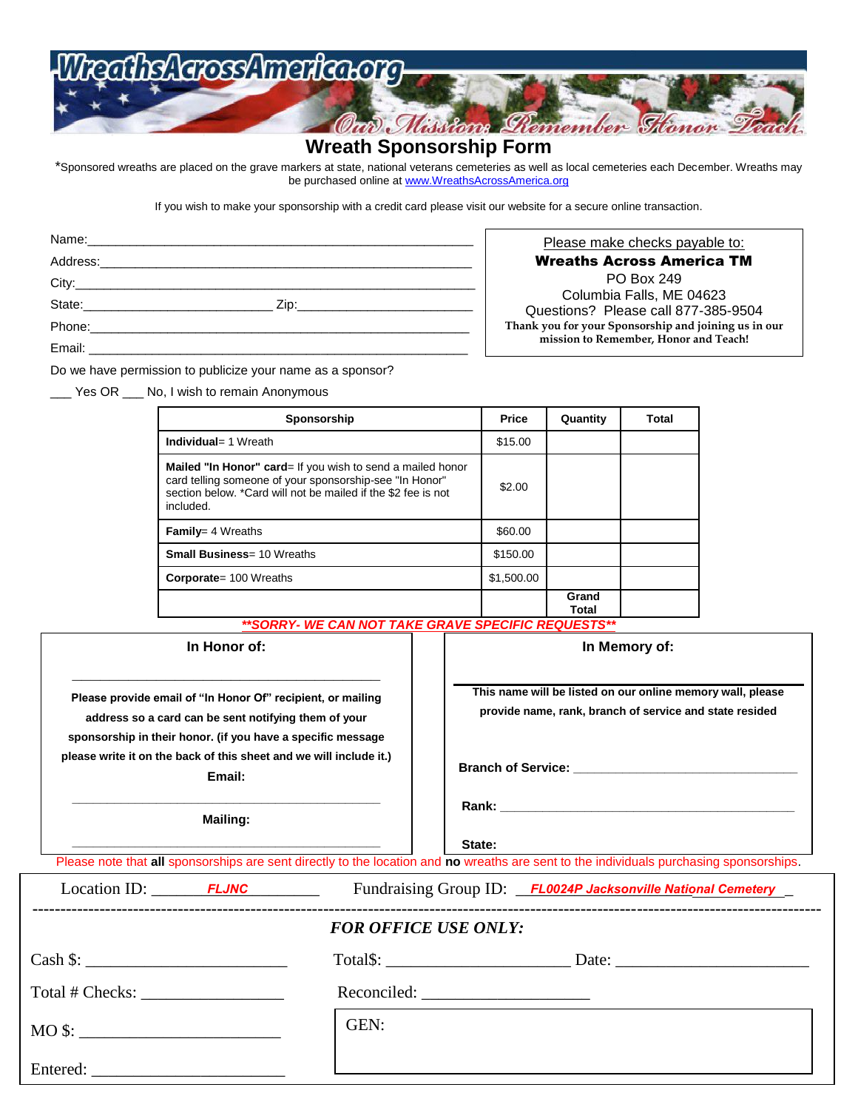# athsAarossAmarica.org

### **Wreath Sponsorship Form**

Oan Missions Remember Stonor

\*Sponsored wreaths are placed on the grave markers at state, national veterans cemeteries as well as local cemeteries each December. Wreaths may be purchased online at [www.WreathsAcrossAmerica.org](http://www.wreathsacrossamerica.org/)

If you wish to make your sponsorship with a credit card please visit our website for a secure online transaction.

Please make checks payable to: Wreaths Across America TM PO Box 249 Columbia Falls, ME 04623 Questions? Please call 877-385-9504 **Thank you for your Sponsorship and joining us in our mission to Remember, Honor and Teach!**

Do we have permission to publicize your name as a sponsor?

\_\_\_ Yes OR \_\_\_ No, I wish to remain Anonymous

| Sponsorship                                                                                                                                                                                                 | <b>Price</b> | Quantity       | Total |
|-------------------------------------------------------------------------------------------------------------------------------------------------------------------------------------------------------------|--------------|----------------|-------|
| <b>Individual</b> = 1 Wreath                                                                                                                                                                                | \$15.00      |                |       |
| <b>Mailed "In Honor" card</b> = If you wish to send a mailed honor<br>card telling someone of your sponsorship-see "In Honor"<br>section below. *Card will not be mailed if the \$2 fee is not<br>included. | \$2.00       |                |       |
| <b>Family</b> = $4$ Wreaths                                                                                                                                                                                 | \$60.00      |                |       |
| <b>Small Business= 10 Wreaths</b>                                                                                                                                                                           | \$150.00     |                |       |
| <b>Corporate</b> = 100 Wreaths                                                                                                                                                                              | \$1,500.00   |                |       |
|                                                                                                                                                                                                             |              | Grand<br>Total |       |

#### *\*\*SORRY- WE CAN NOT TAKE GRAVE SPECIFIC REQUESTS\*\**

| In Honor of: |  |  |
|--------------|--|--|
|--------------|--|--|

**\_\_\_\_\_\_\_\_\_\_\_\_\_\_\_\_\_\_\_\_\_\_\_\_\_\_\_\_\_\_\_\_\_**

**Please provide email of "In Honor Of" recipient, or mailing address so a card can be sent notifying them of your sponsorship in their honor. (if you have a specific message please write it on the back of this sheet and we will include it.) Email:** 

**\_\_\_\_\_\_\_\_\_\_\_\_\_\_\_\_\_\_\_\_\_\_\_\_\_\_\_\_\_\_\_\_\_\_\_\_\_\_\_\_\_\_\_\_ Mailing: \_\_\_\_\_\_\_\_\_\_\_\_\_\_\_\_\_\_\_\_\_\_\_\_\_\_\_\_\_\_\_\_\_\_\_\_\_\_\_\_\_\_\_\_**

**In Memory of: This name will be listed on our online memory wall, please** 

**provide name, rank, branch of service and state resided**

**Branch of Service: \_\_\_\_\_\_\_\_\_\_\_\_\_\_\_\_\_\_\_\_\_\_\_\_\_\_\_\_\_\_\_\_**

**Rank: \_\_\_\_\_\_\_\_\_\_\_\_\_\_\_\_\_\_\_\_\_\_\_\_\_\_\_\_\_\_\_\_\_\_\_\_\_\_\_\_\_\_**

**State: \_\_\_\_\_\_\_\_\_\_\_\_\_\_\_\_\_\_\_\_\_\_\_\_\_\_\_\_\_\_\_\_\_\_\_\_\_\_\_\_\_\_**

Please note that **all** sponsorships are sent directly to the location and **no** wreaths are sent to the individuals purchasing sponsorships.

| $Location ID: \nightharpoonup \nightharpoonup \nightharpoonup \nightharpoonup \nightharpoonup \nightharpoonup \nightharpoonup \nightharpoonup \nightharpoonup \nightharpoonup \nightharpoonup \nightharpoonup \nightharpoonup \nightharpoonup \nightharpoonup \nightharpoonup \nightharpoonup \nightharpoonup \nightharpoonup \nightharpoonup \nightharpoonup \nightharpoonup \nightharpoonup \nightharpoonup \nightharpoonup \nightharpoonup \nightharpoonup \nightharpoonup \nightharpoonup \nightharpoonup \nightharpoonup \nightharpoonup \nightharpoonup \nightharpoonup \nightharpoonup \nightharpoonup \$ | Fundraising Group ID: FL0024P Jacksonville National Cemetery |  |  |  |
|------------------------------------------------------------------------------------------------------------------------------------------------------------------------------------------------------------------------------------------------------------------------------------------------------------------------------------------------------------------------------------------------------------------------------------------------------------------------------------------------------------------------------------------------------------------------------------------------------------------|--------------------------------------------------------------|--|--|--|
| <b>FOR OFFICE USE ONLY:</b>                                                                                                                                                                                                                                                                                                                                                                                                                                                                                                                                                                                      |                                                              |  |  |  |
| $\cosh \$:$                                                                                                                                                                                                                                                                                                                                                                                                                                                                                                                                                                                                      |                                                              |  |  |  |
| Total # Checks:                                                                                                                                                                                                                                                                                                                                                                                                                                                                                                                                                                                                  |                                                              |  |  |  |
|                                                                                                                                                                                                                                                                                                                                                                                                                                                                                                                                                                                                                  | GEN:                                                         |  |  |  |
|                                                                                                                                                                                                                                                                                                                                                                                                                                                                                                                                                                                                                  |                                                              |  |  |  |